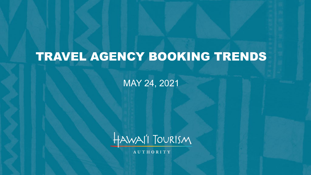# TRAVEL AGENCY BOOKING TRENDS

MAY 24, 2021



**AUTHORITY**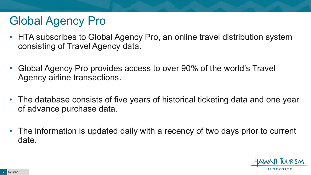## Global Agency Pro

- HTA subscribes to Global Agency Pro, an online travel distribution system consisting of Travel Agency data.
- Global Agency Pro provides access to over 90% of the world's Travel Agency airline transactions.
- The database consists of five years of historical ticketing data and one year of advance purchase data.
- The information is updated daily with a recency of two days prior to current date.

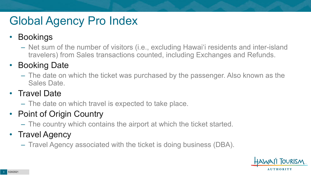# Global Agency Pro Index

#### • Bookings

– Net sum of the number of visitors (i.e., excluding Hawai'i residents and inter-island travelers) from Sales transactions counted, including Exchanges and Refunds.

#### • Booking Date

– The date on which the ticket was purchased by the passenger. Also known as the Sales Date.

#### • Travel Date

– The date on which travel is expected to take place.

#### • Point of Origin Country

– The country which contains the airport at which the ticket started.

#### • Travel Agency

– Travel Agency associated with the ticket is doing business (DBA).

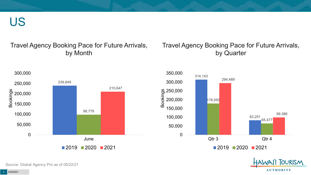US

#### Travel Agency Booking Pace for Future Arrivals, by Month

#### Travel Agency Booking Pace for Future Arrivals, by Quarter





Source: Global Agency Pro as of 05/22/21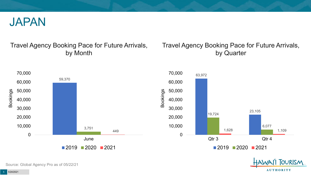

#### Travel Agency Booking Pace for Future Arrivals, by Month

#### Travel Agency Booking Pace for Future Arrivals, by Quarter



Source: Global Agency Pro as of 05/22/21

5 5/24/2021

**AUTHORITY** 

OURISM.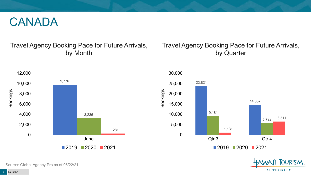#### CANADA

#### Travel Agency Booking Pace for Future Arrivals, by Month

#### Travel Agency Booking Pace for Future Arrivals, by Quarter







Source: Global Agency Pro as of 05/22/21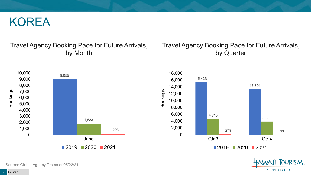#### KOREA

#### Travel Agency Booking Pace for Future Arrivals, by Month

#### Travel Agency Booking Pace for Future Arrivals, by Quarter





Source: Global Agency Pro as of 05/22/21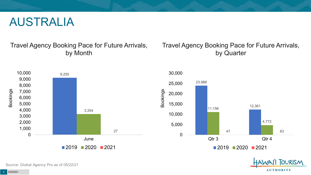#### AUSTRALIA

Travel Agency Booking Pace for Future Arrivals, by Month

#### Travel Agency Booking Pace for Future Arrivals, by Quarter







Source: Global Agency Pro as of 05/22/21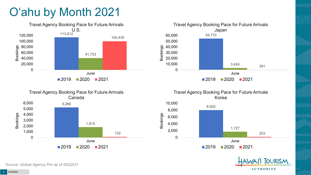# O'ahu by Month 2021







Travel Agency Booking Pace for Future Arrivals Korea





Source: Global Agency Pro as of 05/22/21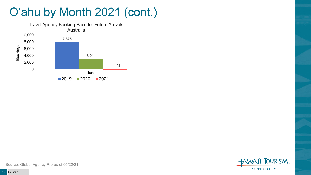## O'ahu by Month 2021 (cont.)





Source: Global Agency Pro as of 05/22/21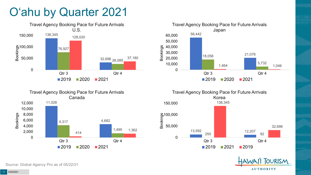## O'ahu by Quarter 2021











Source: Global Agency Pro as of 05/22/21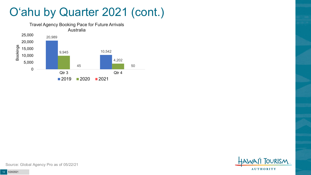### O'ahu by Quarter 2021 (cont.)





Source: Global Agency Pro as of 05/22/21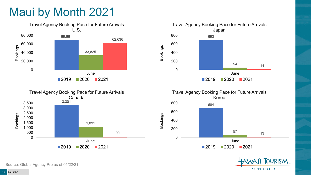## Maui by Month 2021











Source: Global Agency Pro as of 05/22/21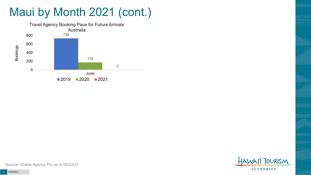# Maui by Month 2021 (cont.)





Source: Global Agency Pro as of 05/22/21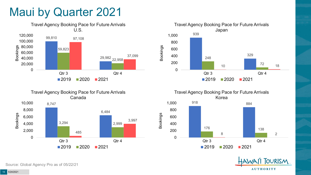#### Maui by Quarter 2021



![](_page_14_Figure_2.jpeg)

![](_page_14_Figure_3.jpeg)

![](_page_14_Figure_4.jpeg)

![](_page_14_Picture_5.jpeg)

Source: Global Agency Pro as of 05/22/21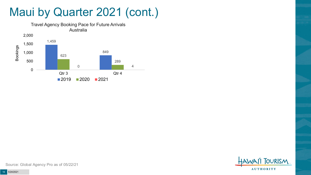#### Maui by Quarter 2021 (cont.)

![](_page_15_Figure_1.jpeg)

![](_page_15_Picture_2.jpeg)

Source: Global Agency Pro as of 05/22/21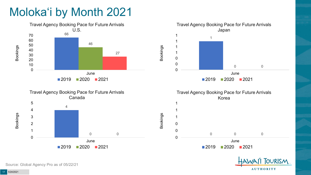# Moloka'i by Month 2021

![](_page_16_Figure_1.jpeg)

**AUTHORITY** 

Source: Global Agency Pro as of 05/22/21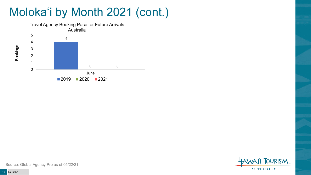## Moloka'i by Month 2021 (cont.)

![](_page_17_Figure_1.jpeg)

![](_page_17_Picture_2.jpeg)

Source: Global Agency Pro as of 05/22/21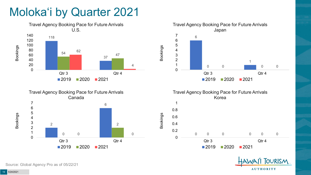## Moloka'i by Quarter 2021

![](_page_18_Figure_1.jpeg)

![](_page_18_Figure_2.jpeg)

![](_page_18_Figure_3.jpeg)

![](_page_18_Figure_4.jpeg)

Bookings

![](_page_18_Picture_5.jpeg)

Source: Global Agency Pro as of 05/22/21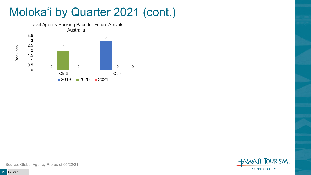### Moloka'i by Quarter 2021 (cont.)

![](_page_19_Figure_1.jpeg)

**TOURISM AUTHORITY** 

Source: Global Agency Pro as of 05/22/21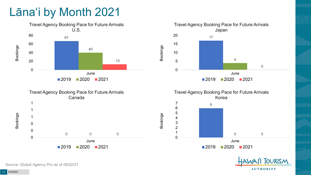### Lāna'i by Month 2021

![](_page_20_Figure_1.jpeg)

![](_page_20_Figure_2.jpeg)

![](_page_20_Picture_3.jpeg)

Source: Global Agency Pro as of 05/22/21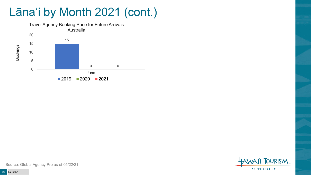## Lāna'i by Month 2021 (cont.)

![](_page_21_Figure_1.jpeg)

![](_page_21_Picture_2.jpeg)

Source: Global Agency Pro as of 05/22/21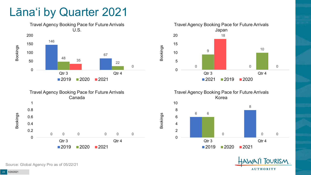#### Lāna'i by Quarter 2021

![](_page_22_Figure_1.jpeg)

![](_page_22_Figure_2.jpeg)

![](_page_22_Figure_3.jpeg)

Travel Agency Booking Pace for Future Arrivals Korea

![](_page_22_Figure_5.jpeg)

Bookings

![](_page_22_Picture_6.jpeg)

Source: Global Agency Pro as of 05/22/21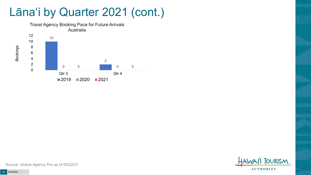#### Lāna'i by Quarter 2021 (cont.)

![](_page_23_Figure_1.jpeg)

**TOURISM AUTHORITY** 

Source: Global Agency Pro as of 05/22/21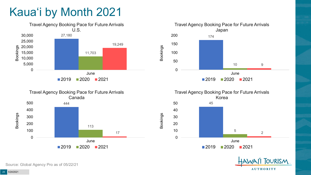# Kaua'i by Month 2021

![](_page_24_Figure_1.jpeg)

![](_page_24_Figure_2.jpeg)

![](_page_24_Figure_3.jpeg)

![](_page_24_Figure_4.jpeg)

![](_page_24_Picture_5.jpeg)

Source: Global Agency Pro as of 05/22/21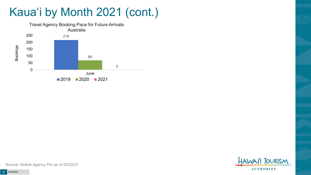### Kaua'i by Month 2021 (cont.)

![](_page_25_Figure_1.jpeg)

![](_page_25_Picture_2.jpeg)

Source: Global Agency Pro as of 05/22/21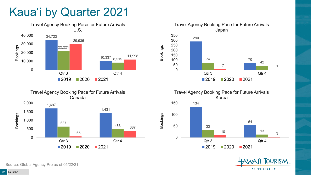## Kaua'i by Quarter 2021

![](_page_26_Figure_1.jpeg)

![](_page_26_Figure_2.jpeg)

![](_page_26_Figure_3.jpeg)

Travel Agency Booking Pace for Future Arrivals Korea

![](_page_26_Figure_5.jpeg)

![](_page_26_Picture_6.jpeg)

Source: Global Agency Pro as of 05/22/21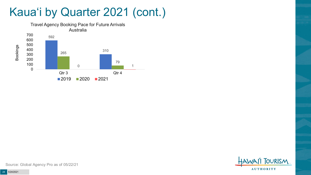### Kaua'i by Quarter 2021 (cont.)

![](_page_27_Figure_1.jpeg)

**FOURISM AUTHORITY** 

Source: Global Agency Pro as of 05/22/21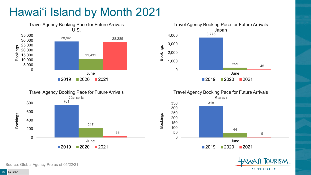### Hawai'i Island by Month 2021

![](_page_28_Figure_1.jpeg)

![](_page_28_Figure_2.jpeg)

![](_page_28_Figure_3.jpeg)

![](_page_28_Figure_4.jpeg)

![](_page_28_Picture_5.jpeg)

Source: Global Agency Pro as of 05/22/21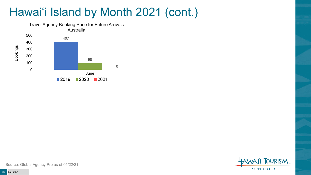## Hawai'i Island by Month 2021 (cont.)

![](_page_29_Figure_1.jpeg)

![](_page_29_Picture_2.jpeg)

Source: Global Agency Pro as of 05/22/21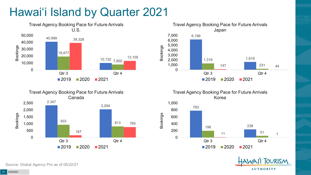### Hawai'i Island by Quarter 2021

![](_page_30_Figure_1.jpeg)

![](_page_30_Figure_2.jpeg)

![](_page_30_Figure_3.jpeg)

Travel Agency Booking Pace for Future Arrivals Korea

Bookings

![](_page_30_Figure_5.jpeg)

![](_page_30_Picture_6.jpeg)

Source: Global Agency Pro as of 05/22/21